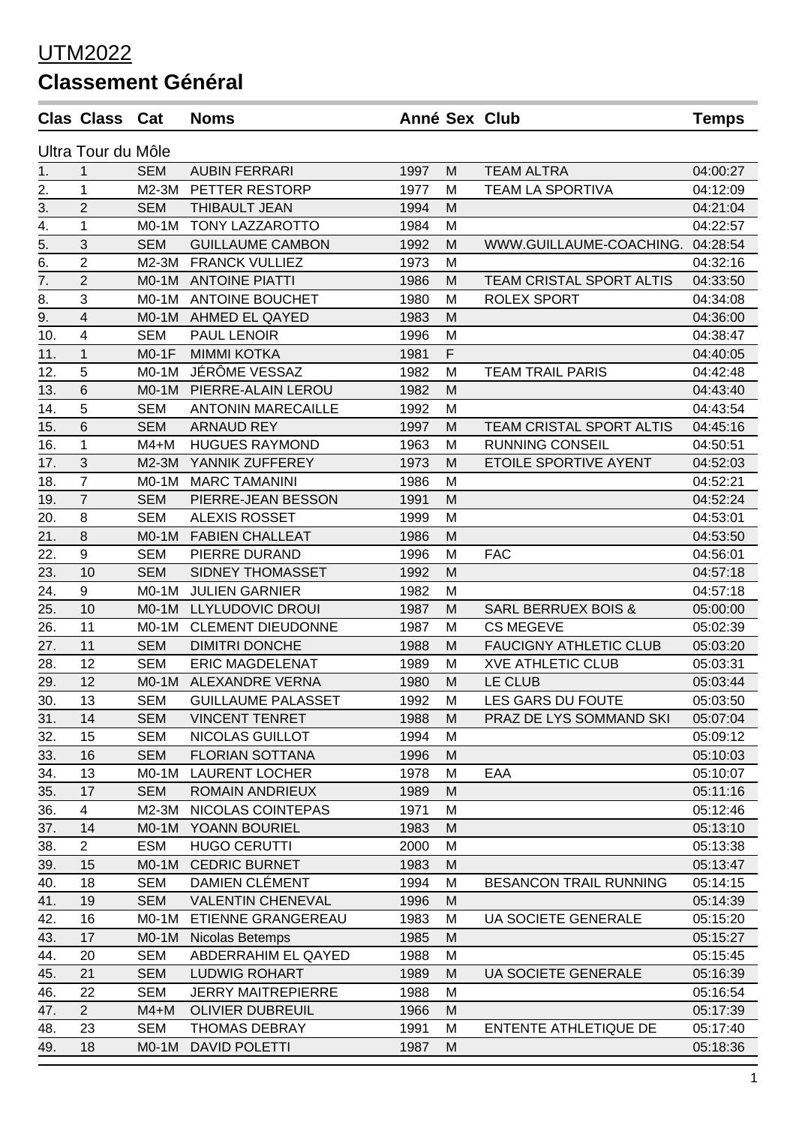## UTM2022

## **Classement Général**

|                    | <b>Clas Class Cat</b> |            | <b>Noms</b>               |      |   | Anné Sex Club                  | <b>Temps</b> |  |  |
|--------------------|-----------------------|------------|---------------------------|------|---|--------------------------------|--------------|--|--|
| Ultra Tour du Môle |                       |            |                           |      |   |                                |              |  |  |
| 1.                 | 1                     | <b>SEM</b> | <b>AUBIN FERRARI</b>      | 1997 | М | <b>TEAM ALTRA</b>              | 04:00:27     |  |  |
| 2.                 | 1                     | $M2-3M$    | PETTER RESTORP            | 1977 | м | <b>TEAM LA SPORTIVA</b>        | 04:12:09     |  |  |
| 3.                 | $\overline{2}$        | <b>SEM</b> | <b>THIBAULT JEAN</b>      | 1994 | M |                                | 04:21:04     |  |  |
|                    | 1                     | $MO-1M$    | TONY LAZZAROTTO           | 1984 | M |                                | 04:22:57     |  |  |
| $\frac{4}{5}$      | 3                     | <b>SEM</b> | <b>GUILLAUME CAMBON</b>   | 1992 | М | WWW.GUILLAUME-COACHING.        | 04:28:54     |  |  |
| 6.                 | $\overline{2}$        | $M2-3M$    | <b>FRANCK VULLIEZ</b>     | 1973 | M |                                | 04:32:16     |  |  |
| $\overline{7}$ .   | $\overline{2}$        | $MO-1M$    | <b>ANTOINE PIATTI</b>     | 1986 | M | TEAM CRISTAL SPORT ALTIS       | 04:33:50     |  |  |
| 8.                 | 3                     | $MO-1M$    | <b>ANTOINE BOUCHET</b>    | 1980 | M | <b>ROLEX SPORT</b>             | 04:34:08     |  |  |
| 9.                 | 4                     | $MO-1M$    | AHMED EL QAYED            | 1983 | M |                                | 04:36:00     |  |  |
| 10.                | 4                     | <b>SEM</b> | PAUL LENOIR               | 1996 | M |                                | 04:38:47     |  |  |
| 11.                | $\mathbf{1}$          | $MO-1F$    | <b>MIMMI KOTKA</b>        | 1981 | F |                                | 04:40:05     |  |  |
| 12.                | 5                     | $MO-1M$    | JÉRÔME VESSAZ             | 1982 | M | <b>TEAM TRAIL PARIS</b>        | 04:42:48     |  |  |
| 13.                | $6\phantom{1}6$       | $MO-1M$    | PIERRE-ALAIN LEROU        | 1982 | M |                                | 04:43:40     |  |  |
| 14.                | 5                     | <b>SEM</b> | <b>ANTONIN MARECAILLE</b> | 1992 | M |                                | 04:43:54     |  |  |
| 15.                | 6                     | <b>SEM</b> | <b>ARNAUD REY</b>         | 1997 | M | TEAM CRISTAL SPORT ALTIS       | 04:45:16     |  |  |
| 16.                | 1                     | $M4+M$     | <b>HUGUES RAYMOND</b>     | 1963 | M | <b>RUNNING CONSEIL</b>         | 04:50:51     |  |  |
| 17.                | 3                     | M2-3M      | YANNIK ZUFFEREY           | 1973 | M | ETOILE SPORTIVE AYENT          | 04:52:03     |  |  |
| 18.                | $\overline{7}$        | $MO-1M$    | <b>MARC TAMANINI</b>      | 1986 | M |                                | 04:52:21     |  |  |
| 19.                | $\overline{7}$        | <b>SEM</b> | PIERRE-JEAN BESSON        | 1991 | M |                                | 04:52:24     |  |  |
| 20.                | 8                     | <b>SEM</b> | <b>ALEXIS ROSSET</b>      | 1999 | M |                                | 04:53:01     |  |  |
| 21.                | 8                     | $MO-1M$    | <b>FABIEN CHALLEAT</b>    | 1986 | M |                                | 04:53:50     |  |  |
| 22.                | 9                     | <b>SEM</b> | PIERRE DURAND             | 1996 | M | <b>FAC</b>                     | 04:56:01     |  |  |
| 23.                | 10                    | <b>SEM</b> | SIDNEY THOMASSET          | 1992 | M |                                | 04:57:18     |  |  |
| 24.                | 9                     | $MO-1M$    | <b>JULIEN GARNIER</b>     | 1982 | M |                                | 04:57:18     |  |  |
| 25.                | 10                    | $MO-1M$    | LLYLUDOVIC DROUI          | 1987 | M | <b>SARL BERRUEX BOIS &amp;</b> | 05:00:00     |  |  |
| 26.                | 11                    | $MO-1M$    | <b>CLEMENT DIEUDONNE</b>  | 1987 | M | <b>CS MEGEVE</b>               | 05:02:39     |  |  |
| 27.                | 11                    | <b>SEM</b> | <b>DIMITRI DONCHE</b>     | 1988 | M | <b>FAUCIGNY ATHLETIC CLUB</b>  | 05:03:20     |  |  |
| 28.                | 12                    | <b>SEM</b> | <b>ERIC MAGDELENAT</b>    | 1989 | M | <b>XVE ATHLETIC CLUB</b>       | 05:03:31     |  |  |
| 29.                | 12                    | $MO-1M$    | <b>ALEXANDRE VERNA</b>    | 1980 | M | LE CLUB                        | 05:03:44     |  |  |
| 30.                | 13                    | SEM        | <b>GUILLAUME PALASSET</b> | 1992 | M | LES GARS DU FOUTE              | 05:03:50     |  |  |
| 31.                | 14                    | <b>SEM</b> | <b>VINCENT TENRET</b>     | 1988 | M | PRAZ DE LYS SOMMAND SKI        | 05:07:04     |  |  |
| 32.                | 15                    | <b>SEM</b> | NICOLAS GUILLOT           | 1994 | M |                                | 05:09:12     |  |  |
| 33.                | 16                    | <b>SEM</b> | <b>FLORIAN SOTTANA</b>    | 1996 | M |                                | 05:10:03     |  |  |
| 34.                | 13                    | $MO-1M$    | <b>LAURENT LOCHER</b>     | 1978 | M | EAA                            | 05:10:07     |  |  |
| 35.                | 17                    | <b>SEM</b> | <b>ROMAIN ANDRIEUX</b>    | 1989 | M |                                | 05:11:16     |  |  |
| 36.                | 4                     | M2-3M      | NICOLAS COINTEPAS         | 1971 | M |                                | 05:12:46     |  |  |
| 37.                | 14                    | M0-1M      | YOANN BOURIEL             | 1983 | M |                                | 05:13:10     |  |  |
| 38.                | $\overline{2}$        | <b>ESM</b> | <b>HUGO CERUTTI</b>       | 2000 | M |                                | 05:13:38     |  |  |
| 39.                | 15                    | $MO-1M$    | <b>CEDRIC BURNET</b>      | 1983 | M |                                | 05:13:47     |  |  |
| 40.                | 18                    | <b>SEM</b> | DAMIEN CLÉMENT            | 1994 | M | <b>BESANCON TRAIL RUNNING</b>  | 05:14:15     |  |  |
| 41.                | 19                    | <b>SEM</b> | <b>VALENTIN CHENEVAL</b>  | 1996 | M |                                | 05:14:39     |  |  |
| 42.                | 16                    | $MO-1M$    | ETIENNE GRANGEREAU        | 1983 | M | <b>UA SOCIETE GENERALE</b>     | 05:15:20     |  |  |
| 43.                | 17                    | $MO-1M$    | Nicolas Betemps           | 1985 | M |                                | 05:15:27     |  |  |
| 44.                | 20                    | <b>SEM</b> | ABDERRAHIM EL QAYED       | 1988 | M |                                | 05:15:45     |  |  |
| 45.                | 21                    | <b>SEM</b> | <b>LUDWIG ROHART</b>      | 1989 | M | <b>UA SOCIETE GENERALE</b>     | 05:16:39     |  |  |
| 46.                | 22                    | <b>SEM</b> | <b>JERRY MAITREPIERRE</b> | 1988 | M |                                | 05:16:54     |  |  |
| 47.                | $\overline{2}$        | $M4+M$     | <b>OLIVIER DUBREUIL</b>   | 1966 | M |                                | 05:17:39     |  |  |
| 48.                | 23                    | <b>SEM</b> | <b>THOMAS DEBRAY</b>      | 1991 | M | ENTENTE ATHLETIQUE DE          | 05:17:40     |  |  |
| 49.                | 18                    | $MO-1M$    | <b>DAVID POLETTI</b>      | 1987 | M |                                | 05:18:36     |  |  |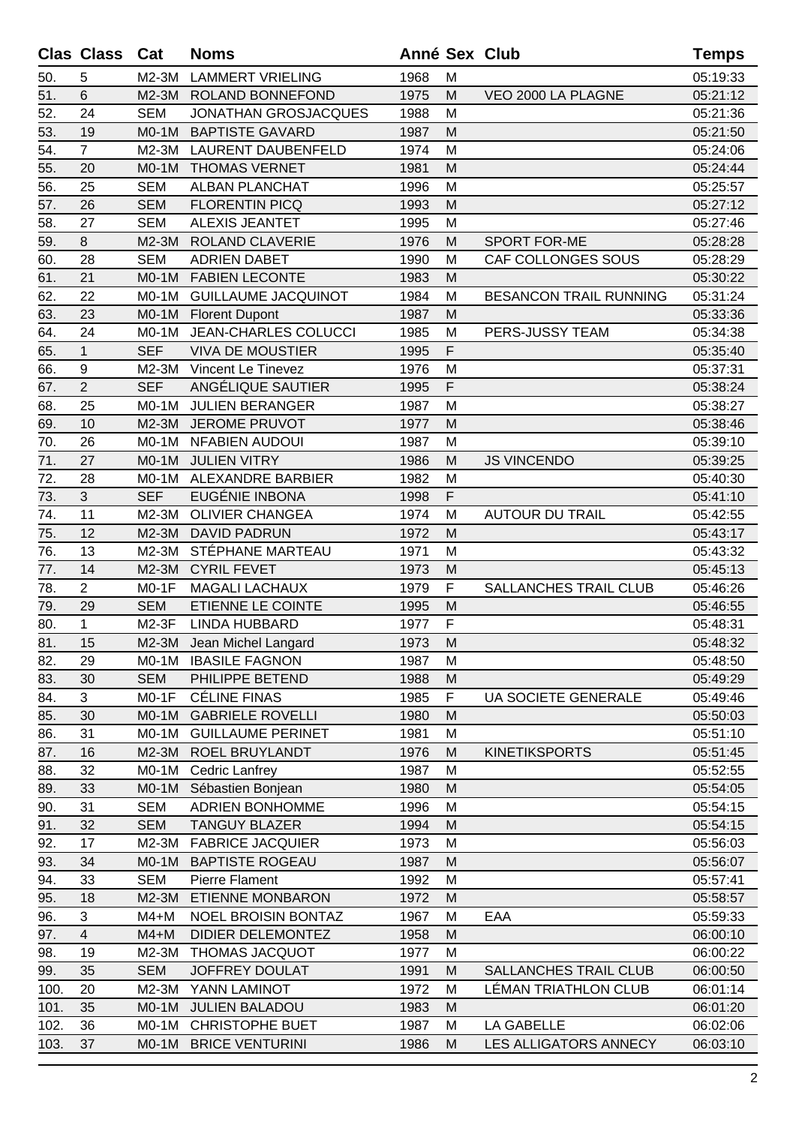|      | <b>Clas Class</b>       | Cat        | <b>Noms</b>                 | Anné Sex Club |   |                               | <b>Temps</b> |
|------|-------------------------|------------|-----------------------------|---------------|---|-------------------------------|--------------|
| 50.  | 5                       | $M2-3M$    | <b>LAMMERT VRIELING</b>     | 1968          | M |                               | 05:19:33     |
| 51.  | 6                       | $M2-3M$    | ROLAND BONNEFOND            | 1975          | M | VEO 2000 LA PLAGNE            | 05:21:12     |
| 52.  | 24                      | <b>SEM</b> | <b>JONATHAN GROSJACQUES</b> | 1988          | M |                               | 05:21:36     |
| 53.  | 19                      | $MO-1M$    | <b>BAPTISTE GAVARD</b>      | 1987          | M |                               | 05:21:50     |
| 54.  | $\overline{7}$          | M2-3M      | LAURENT DAUBENFELD          | 1974          | M |                               | 05:24:06     |
| 55.  | 20                      | $MO-1M$    | <b>THOMAS VERNET</b>        | 1981          | M |                               | 05:24:44     |
| 56.  | 25                      | <b>SEM</b> | <b>ALBAN PLANCHAT</b>       | 1996          | M |                               | 05:25:57     |
| 57.  | 26                      | <b>SEM</b> | <b>FLORENTIN PICQ</b>       | 1993          | M |                               | 05:27:12     |
| 58.  | 27                      | <b>SEM</b> | <b>ALEXIS JEANTET</b>       | 1995          | M |                               | 05:27:46     |
| 59.  | 8                       | M2-3M      | <b>ROLAND CLAVERIE</b>      | 1976          | M | SPORT FOR-ME                  | 05:28:28     |
| 60.  | 28                      | <b>SEM</b> | <b>ADRIEN DABET</b>         | 1990          | M | CAF COLLONGES SOUS            | 05:28:29     |
| 61.  | 21                      | M0-1M      | <b>FABIEN LECONTE</b>       | 1983          | м |                               | 05:30:22     |
| 62.  | 22                      | $MO-1M$    | <b>GUILLAUME JACQUINOT</b>  | 1984          | M | <b>BESANCON TRAIL RUNNING</b> | 05:31:24     |
| 63.  | 23                      | M0-1M      | <b>Florent Dupont</b>       | 1987          | M |                               | 05:33:36     |
| 64.  | 24                      | M0-1M      | <b>JEAN-CHARLES COLUCCI</b> | 1985          | M | PERS-JUSSY TEAM               | 05:34:38     |
| 65.  | $\mathbf 1$             | <b>SEF</b> | <b>VIVA DE MOUSTIER</b>     | 1995          | F |                               | 05:35:40     |
| 66.  | 9                       | M2-3M      | Vincent Le Tinevez          | 1976          | M |                               | 05:37:31     |
| 67.  | $\overline{2}$          | <b>SEF</b> | ANGÉLIQUE SAUTIER           | 1995          | F |                               | 05:38:24     |
| 68.  | 25                      | M0-1M      | <b>JULIEN BERANGER</b>      | 1987          | M |                               | 05:38:27     |
| 69.  | 10                      | M2-3M      | <b>JEROME PRUVOT</b>        | 1977          | M |                               | 05:38:46     |
| 70.  | 26                      | $MO-1M$    | <b>NFABIEN AUDOUI</b>       | 1987          | M |                               | 05:39:10     |
| 71.  | 27                      | $MO-1M$    | <b>JULIEN VITRY</b>         | 1986          | M | <b>JS VINCENDO</b>            | 05:39:25     |
| 72.  | 28                      | $MO-1M$    | <b>ALEXANDRE BARBIER</b>    | 1982          | M |                               | 05:40:30     |
| 73.  | 3                       | <b>SEF</b> | EUGÉNIE INBONA              | 1998          | F |                               | 05:41:10     |
| 74.  | 11                      | M2-3M      | <b>OLIVIER CHANGEA</b>      | 1974          | M | <b>AUTOUR DU TRAIL</b>        | 05:42:55     |
| 75.  | 12                      | M2-3M      | <b>DAVID PADRUN</b>         | 1972          | M |                               | 05:43:17     |
| 76.  | 13                      | M2-3M      | STÉPHANE MARTEAU            | 1971          | M |                               | 05:43:32     |
| 77.  | 14                      | M2-3M      | <b>CYRIL FEVET</b>          | 1973          | M |                               | 05:45:13     |
| 78.  | $\overline{2}$          | $MO-1F$    | <b>MAGALI LACHAUX</b>       | 1979          | F | SALLANCHES TRAIL CLUB         | 05:46:26     |
| 79.  | 29                      | <b>SEM</b> | ETIENNE LE COINTE           | 1995          | M |                               | 05:46:55     |
| 80.  | 1                       | M2-3F      | <b>LINDA HUBBARD</b>        | 1977          | F |                               | 05:48:31     |
| 81.  | 15                      |            | M2-3M Jean Michel Langard   | 1973          | M |                               | 05:48:32     |
| 82.  | 29                      |            | M0-1M IBASILE FAGNON        | 1987          | M |                               | 05:48:50     |
| 83.  | 30                      | <b>SEM</b> | PHILIPPE BETEND             | 1988          | M |                               | 05:49:29     |
| 84.  | 3                       | $MO-1F$    | <b>CÉLINE FINAS</b>         | 1985          | F | UA SOCIETE GENERALE           | 05:49:46     |
| 85.  | 30                      | $MO-1M$    | <b>GABRIELE ROVELLI</b>     | 1980          | M |                               | 05:50:03     |
| 86.  | 31                      | M0-1M      | <b>GUILLAUME PERINET</b>    | 1981          | M |                               | 05:51:10     |
| 87.  | 16                      | M2-3M      | <b>ROEL BRUYLANDT</b>       | 1976          | M | <b>KINETIKSPORTS</b>          | 05:51:45     |
| 88.  | 32                      | M0-1M      | <b>Cedric Lanfrey</b>       | 1987          | M |                               | 05:52:55     |
| 89.  | 33                      | M0-1M      | Sébastien Bonjean           | 1980          | M |                               | 05:54:05     |
| 90.  | 31                      | <b>SEM</b> | <b>ADRIEN BONHOMME</b>      | 1996          | M |                               | 05:54:15     |
| 91.  | 32                      | <b>SEM</b> | <b>TANGUY BLAZER</b>        | 1994          | M |                               | 05:54:15     |
| 92.  | 17                      | M2-3M      | <b>FABRICE JACQUIER</b>     | 1973          | M |                               | 05:56:03     |
| 93.  | 34                      | M0-1M      | <b>BAPTISTE ROGEAU</b>      | 1987          | M |                               | 05:56:07     |
| 94.  | 33                      | <b>SEM</b> | Pierre Flament              | 1992          | M |                               | 05:57:41     |
| 95.  | 18                      | M2-3M      | <b>ETIENNE MONBARON</b>     | 1972          | M |                               | 05:58:57     |
| 96.  | 3                       | M4+M       | <b>NOEL BROISIN BONTAZ</b>  | 1967          | M | EAA                           | 05:59:33     |
| 97.  | $\overline{\mathbf{4}}$ | $M4+M$     | DIDIER DELEMONTEZ           | 1958          | M |                               | 06:00:10     |
| 98.  | 19                      | M2-3M      | <b>THOMAS JACQUOT</b>       | 1977          | M |                               | 06:00:22     |
| 99.  | 35                      | <b>SEM</b> | <b>JOFFREY DOULAT</b>       | 1991          | M | <b>SALLANCHES TRAIL CLUB</b>  | 06:00:50     |
| 100. | 20                      | M2-3M      | YANN LAMINOT                | 1972          | M | LÉMAN TRIATHLON CLUB          | 06:01:14     |
| 101. | 35                      | $MO-1M$    | <b>JULIEN BALADOU</b>       | 1983          | M |                               | 06:01:20     |
| 102. | 36                      | M0-1M      | CHRISTOPHE BUET             | 1987          | M | LA GABELLE                    | 06:02:06     |
| 103. | 37                      | M0-1M      | <b>BRICE VENTURINI</b>      | 1986          | M | LES ALLIGATORS ANNECY         | 06:03:10     |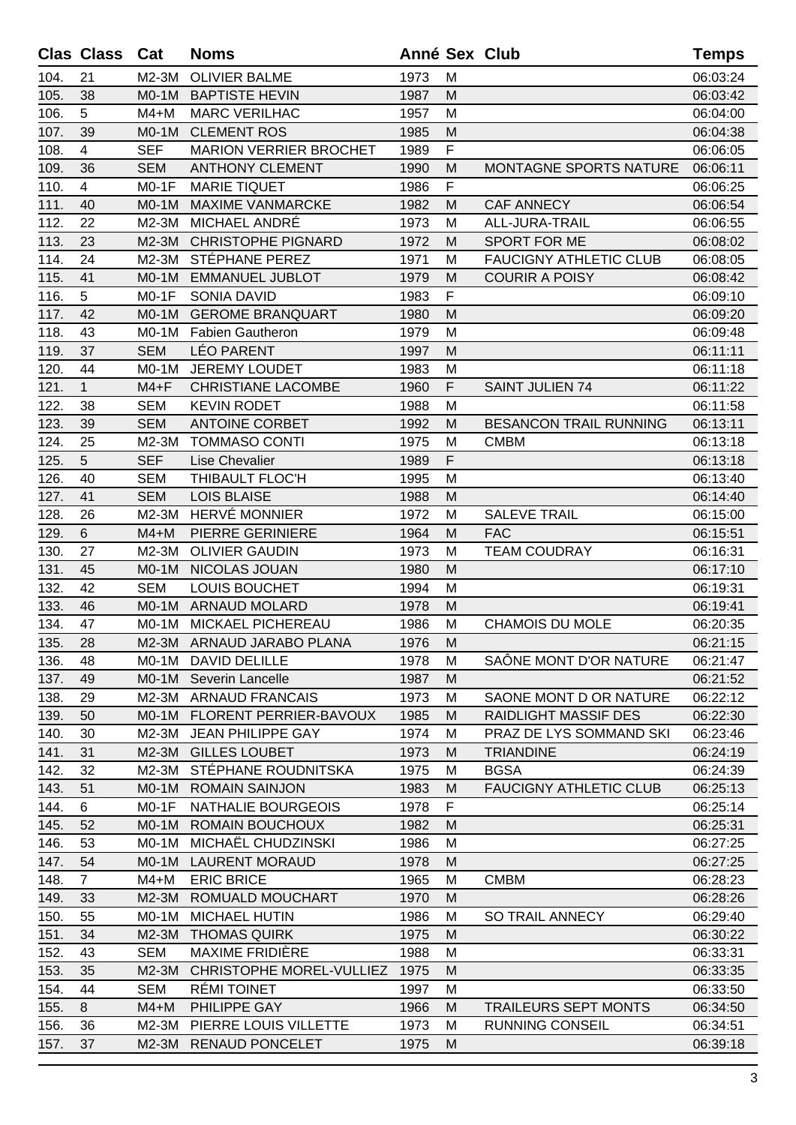|      | <b>Clas Class</b> | Cat        | <b>Noms</b>                   | <b>Anné Sex Club</b> |   |                               | <b>Temps</b> |
|------|-------------------|------------|-------------------------------|----------------------|---|-------------------------------|--------------|
| 104. | 21                | $M2-3M$    | <b>OLIVIER BALME</b>          | 1973                 | M |                               | 06:03:24     |
| 105. | 38                | $MO-1M$    | <b>BAPTISTE HEVIN</b>         | 1987                 | M |                               | 06:03:42     |
| 106. | 5                 | $M4+M$     | <b>MARC VERILHAC</b>          | 1957                 | M |                               | 06:04:00     |
| 107. | 39                | $MO-1M$    | <b>CLEMENT ROS</b>            | 1985                 | M |                               | 06:04:38     |
| 108. | 4                 | <b>SEF</b> | <b>MARION VERRIER BROCHET</b> | 1989                 | F |                               | 06:06:05     |
| 109. | 36                | <b>SEM</b> | <b>ANTHONY CLEMENT</b>        | 1990                 | M | <b>MONTAGNE SPORTS NATURE</b> | 06:06:11     |
| 110. | $\overline{4}$    | $MO-1F$    | <b>MARIE TIQUET</b>           | 1986                 | F |                               | 06:06:25     |
| 111. | 40                | $MO-1M$    | <b>MAXIME VANMARCKE</b>       | 1982                 | M | <b>CAF ANNECY</b>             | 06:06:54     |
| 112. | 22                | $M2-3M$    | MICHAEL ANDRÉ                 | 1973                 | м | ALL-JURA-TRAIL                | 06:06:55     |
| 113. | 23                | $M2-3M$    | <b>CHRISTOPHE PIGNARD</b>     | 1972                 | M | SPORT FOR ME                  | 06:08:02     |
| 114. | 24                | M2-3M      | STÉPHANE PEREZ                | 1971                 | M | <b>FAUCIGNY ATHLETIC CLUB</b> | 06:08:05     |
| 115. | 41                | $MO-1M$    | <b>EMMANUEL JUBLOT</b>        | 1979                 | M | <b>COURIR A POISY</b>         | 06:08:42     |
| 116. | 5                 | $MO-1F$    | <b>SONIA DAVID</b>            | 1983                 | F |                               | 06:09:10     |
| 117. | 42                | $MO-1M$    | <b>GEROME BRANQUART</b>       | 1980                 | M |                               | 06:09:20     |
| 118. | 43                | $MO-1M$    | <b>Fabien Gautheron</b>       | 1979                 | M |                               | 06:09:48     |
| 119. | 37                | <b>SEM</b> | <b>LÉO PARENT</b>             | 1997                 | M |                               | 06:11:11     |
| 120. | 44                | $MO-1M$    | <b>JEREMY LOUDET</b>          | 1983                 | M |                               | 06:11:18     |
| 121. | $\mathbf{1}$      | $M4 + F$   | <b>CHRISTIANE LACOMBE</b>     | 1960                 | F | <b>SAINT JULIEN 74</b>        | 06:11:22     |
| 122. | 38                | <b>SEM</b> | <b>KEVIN RODET</b>            | 1988                 | M |                               | 06:11:58     |
| 123. | 39                | <b>SEM</b> | <b>ANTOINE CORBET</b>         | 1992                 | M | <b>BESANCON TRAIL RUNNING</b> | 06:13:11     |
| 124. | 25                | M2-3M      | <b>TOMMASO CONTI</b>          | 1975                 | M | <b>CMBM</b>                   | 06:13:18     |
| 125. | 5                 | <b>SEF</b> | <b>Lise Chevalier</b>         | 1989                 | F |                               | 06:13:18     |
| 126. | 40                | <b>SEM</b> | THIBAULT FLOC'H               | 1995                 | M |                               | 06:13:40     |
| 127. | 41                | <b>SEM</b> | <b>LOIS BLAISE</b>            | 1988                 | M |                               | 06:14:40     |
| 128. | 26                | M2-3M      | HERVÉ MONNIER                 | 1972                 | M | <b>SALEVE TRAIL</b>           | 06:15:00     |
| 129. | 6                 | $M4+M$     | <b>PIERRE GERINIERE</b>       | 1964                 | M | <b>FAC</b>                    | 06:15:51     |
| 130. | 27                | M2-3M      | <b>OLIVIER GAUDIN</b>         | 1973                 | M | <b>TEAM COUDRAY</b>           | 06:16:31     |
| 131. | 45                | $MO-1M$    | NICOLAS JOUAN                 | 1980                 | M |                               | 06:17:10     |
| 132. | 42                | <b>SEM</b> | LOUIS BOUCHET                 | 1994                 | M |                               | 06:19:31     |
| 133. | 46                | $MO-1M$    | <b>ARNAUD MOLARD</b>          | 1978                 | M |                               | 06:19:41     |
| 134. | 47                | $MO-1M$    | MICKAEL PICHEREAU             | 1986                 | M | <b>CHAMOIS DU MOLE</b>        | 06:20:35     |
| 135. | 28                |            | M2-3M ARNAUD JARABO PLANA     | 1976                 | M |                               | 06:21:15     |
| 136. | 48                |            | M0-1M DAVID DELILLE           | 1978                 | М | SAÔNE MONT D'OR NATURE        | 06:21:47     |
| 137. | 49                |            | M0-1M Severin Lancelle        | 1987                 | M |                               | 06:21:52     |
| 138. | 29                | $M2-3M$    | <b>ARNAUD FRANCAIS</b>        | 1973                 | М | SAONE MONT D OR NATURE        | 06:22:12     |
| 139. | 50                | $MO-1M$    | FLORENT PERRIER-BAVOUX        | 1985                 | M | <b>RAIDLIGHT MASSIF DES</b>   | 06:22:30     |
| 140. | 30                | M2-3M      | <b>JEAN PHILIPPE GAY</b>      | 1974                 | M | PRAZ DE LYS SOMMAND SKI       | 06:23:46     |
| 141. | 31                | $M2-3M$    | <b>GILLES LOUBET</b>          | 1973                 | M | <b>TRIANDINE</b>              | 06:24:19     |
| 142. | 32                | M2-3M      | STÉPHANE ROUDNITSKA           | 1975                 | M | <b>BGSA</b>                   | 06:24:39     |
| 143. | 51                | $MO-1M$    | <b>ROMAIN SAINJON</b>         | 1983                 | M | <b>FAUCIGNY ATHLETIC CLUB</b> | 06:25:13     |
| 144. | 6                 | $MO-1F$    | NATHALIE BOURGEOIS            | 1978                 | F |                               | 06:25:14     |
| 145. | 52                | $MO-1M$    | <b>ROMAIN BOUCHOUX</b>        | 1982                 | M |                               | 06:25:31     |
| 146. | 53                | $MO-1M$    | MICHAËL CHUDZINSKI            | 1986                 | М |                               | 06:27:25     |
| 147. | 54                | $MO-1M$    | <b>LAURENT MORAUD</b>         | 1978                 | M |                               | 06:27:25     |
| 148. | $\overline{7}$    | M4+M       | <b>ERIC BRICE</b>             | 1965                 | M | <b>CMBM</b>                   | 06:28:23     |
| 149. | 33                | $M2-3M$    | ROMUALD MOUCHART              | 1970                 | M |                               | 06:28:26     |
| 150. | 55                | $MO-1M$    | <b>MICHAEL HUTIN</b>          | 1986                 | M | SO TRAIL ANNECY               | 06:29:40     |
| 151. | 34                | $M2-3M$    | <b>THOMAS QUIRK</b>           | 1975                 | M |                               | 06:30:22     |
| 152. | 43                | <b>SEM</b> | <b>MAXIME FRIDIÈRE</b>        | 1988                 | M |                               | 06:33:31     |
| 153. | 35                | $M2-3M$    | CHRISTOPHE MOREL-VULLIEZ      | 1975                 | M |                               | 06:33:35     |
| 154. | 44                | <b>SEM</b> | RÉMI TOINET                   | 1997                 | M |                               | 06:33:50     |
| 155. | 8                 | $M4+M$     | PHILIPPE GAY                  | 1966                 | M | <b>TRAILEURS SEPT MONTS</b>   | 06:34:50     |
| 156. | 36                | $M2-3M$    | PIERRE LOUIS VILLETTE         | 1973                 | M | <b>RUNNING CONSEIL</b>        | 06:34:51     |
| 157. | 37                | $M2-3M$    | <b>RENAUD PONCELET</b>        | 1975                 | M |                               | 06:39:18     |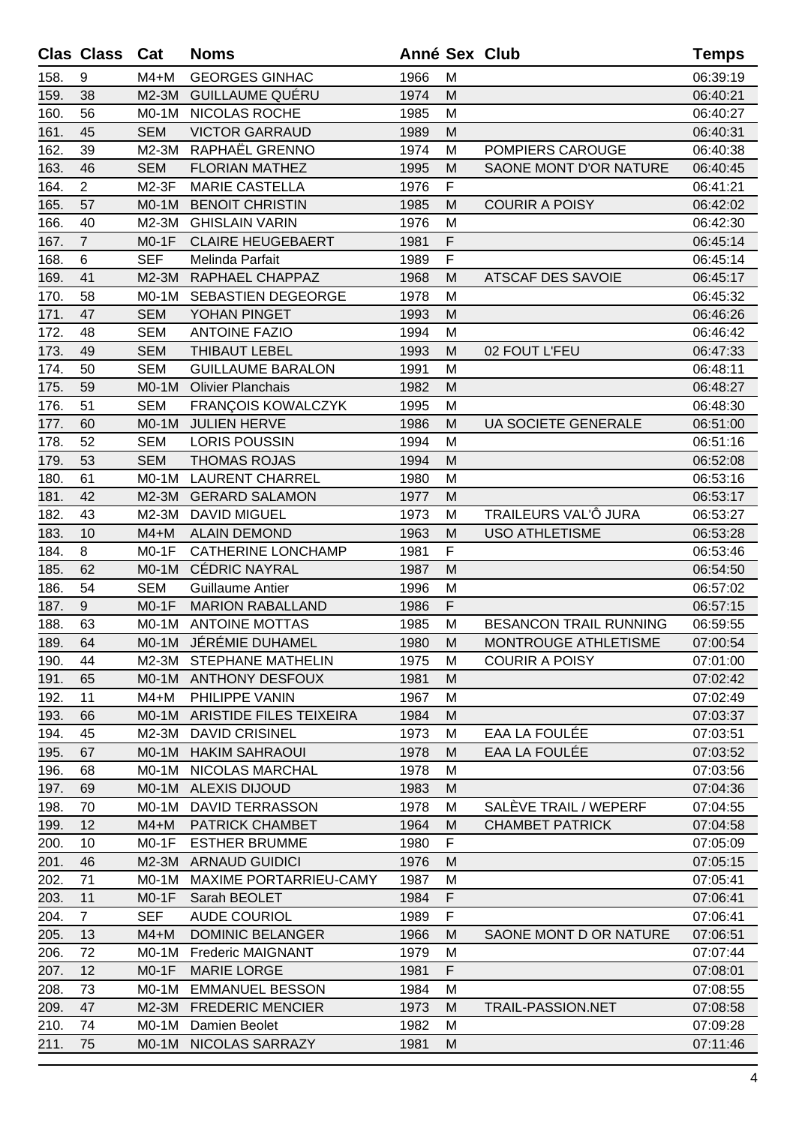|      | <b>Clas Class</b> | Cat        | <b>Noms</b>               | Anné Sex Club |   |                            | <b>Temps</b> |
|------|-------------------|------------|---------------------------|---------------|---|----------------------------|--------------|
| 158. | 9                 | $M4+M$     | <b>GEORGES GINHAC</b>     | 1966          | M |                            | 06:39:19     |
| 159. | 38                | $M2-3M$    | <b>GUILLAUME QUÉRU</b>    | 1974          | M |                            | 06:40:21     |
| 160. | 56                | $MO-1M$    | NICOLAS ROCHE             | 1985          | M |                            | 06:40:27     |
| 161. | 45                | <b>SEM</b> | <b>VICTOR GARRAUD</b>     | 1989          | M |                            | 06:40:31     |
| 162. | 39                | M2-3M      | RAPHAËL GRENNO            | 1974          | M | POMPIERS CAROUGE           | 06:40:38     |
| 163. | 46                | <b>SEM</b> | <b>FLORIAN MATHEZ</b>     | 1995          | M | SAONE MONT D'OR NATURE     | 06:40:45     |
| 164. | $\overline{2}$    | M2-3F      | <b>MARIE CASTELLA</b>     | 1976          | F |                            | 06:41:21     |
| 165. | 57                | $MO-1M$    | <b>BENOIT CHRISTIN</b>    | 1985          | M | <b>COURIR A POISY</b>      | 06:42:02     |
| 166. | 40                | $M2-3M$    | <b>GHISLAIN VARIN</b>     | 1976          | M |                            | 06:42:30     |
| 167. | $\overline{7}$    | $MO-1F$    | <b>CLAIRE HEUGEBAERT</b>  | 1981          | F |                            | 06:45:14     |
| 168. | 6                 | <b>SEF</b> | Melinda Parfait           | 1989          | F |                            | 06:45:14     |
| 169. | 41                | M2-3M      | RAPHAEL CHAPPAZ           | 1968          | M | <b>ATSCAF DES SAVOIE</b>   | 06:45:17     |
| 170. | 58                | $MO-1M$    | SEBASTIEN DEGEORGE        | 1978          | M |                            | 06:45:32     |
| 171. | 47                | <b>SEM</b> | YOHAN PINGET              | 1993          | M |                            | 06:46:26     |
| 172. | 48                | <b>SEM</b> | <b>ANTOINE FAZIO</b>      | 1994          | M |                            | 06:46:42     |
| 173. | 49                | <b>SEM</b> | <b>THIBAUT LEBEL</b>      | 1993          | M | 02 FOUT L'FEU              | 06:47:33     |
| 174. | 50                | <b>SEM</b> | <b>GUILLAUME BARALON</b>  | 1991          | M |                            | 06:48:11     |
| 175. | 59                | $MO-1M$    | <b>Olivier Planchais</b>  | 1982          | M |                            | 06:48:27     |
| 176. | 51                | <b>SEM</b> | <b>FRANÇOIS KOWALCZYK</b> | 1995          | M |                            | 06:48:30     |
| 177. | 60                | $MO-1M$    | <b>JULIEN HERVE</b>       | 1986          | м | <b>UA SOCIETE GENERALE</b> | 06:51:00     |
| 178. | 52                | <b>SEM</b> | <b>LORIS POUSSIN</b>      | 1994          | M |                            | 06:51:16     |
| 179. | 53                | <b>SEM</b> | <b>THOMAS ROJAS</b>       | 1994          | M |                            | 06:52:08     |
| 180. | 61                | $MO-1M$    | <b>LAURENT CHARREL</b>    | 1980          | M |                            | 06:53:16     |
| 181. | 42                | $M2-3M$    | <b>GERARD SALAMON</b>     | 1977          | M |                            | 06:53:17     |
| 182. | 43                | M2-3M      | <b>DAVID MIGUEL</b>       | 1973          | M | TRAILEURS VAL'Ô JURA       | 06:53:27     |
| 183. | 10                | $M4+M$     | <b>ALAIN DEMOND</b>       | 1963          | M | <b>USO ATHLETISME</b>      | 06:53:28     |
| 184. | 8                 | $MO-1F$    | <b>CATHERINE LONCHAMP</b> | 1981          | F |                            | 06:53:46     |
| 185. | 62                | $MO-1M$    | <b>CÉDRIC NAYRAL</b>      | 1987          | M |                            | 06:54:50     |
| 186. | 54                | <b>SEM</b> | <b>Guillaume Antier</b>   | 1996          | M |                            | 06:57:02     |
| 187. | 9                 | $MO-1F$    | <b>MARION RABALLAND</b>   | 1986          | F |                            | 06:57:15     |
| 188. | 63                | $MO-1M$    | <b>ANTOINE MOTTAS</b>     | 1985          | M | BESANCON TRAIL RUNNING     | 06:59:55     |
| 189. | 64                |            | M0-1M JÉRÉMIE DUHAMEL     | 1980          | M | MONTROUGE ATHLETISME       | 07:00:54     |
| 190. | 44                |            | M2-3M STEPHANE MATHELIN   | 1975          | M | <b>COURIR A POISY</b>      | 07:01:00     |
| 191. | 65                | $MO-1M$    | <b>ANTHONY DESFOUX</b>    | 1981          | М |                            | 07:02:42     |
| 192. | 11                | M4+M       | PHILIPPE VANIN            | 1967          | M |                            | 07:02:49     |
| 193. | 66                | $MO-1M$    | ARISTIDE FILES TEIXEIRA   | 1984          | M |                            | 07:03:37     |
| 194. | 45                | M2-3M      | <b>DAVID CRISINEL</b>     | 1973          | M | EAA LA FOULÉE              | 07:03:51     |
| 195. | 67                | $MO-1M$    | <b>HAKIM SAHRAOUI</b>     | 1978          | М | EAA LA FOULÉE              | 07:03:52     |
| 196. | 68                | M0-1M      | NICOLAS MARCHAL           | 1978          | м |                            | 07:03:56     |
| 197. | 69                | $MO-1M$    | <b>ALEXIS DIJOUD</b>      | 1983          | м |                            | 07:04:36     |
| 198. | 70                | $MO-1M$    | <b>DAVID TERRASSON</b>    | 1978          | M | SALEVE TRAIL / WEPERF      | 07:04:55     |
| 199. | 12                | $M4+M$     | PATRICK CHAMBET           | 1964          | M | <b>CHAMBET PATRICK</b>     | 07:04:58     |
| 200. | 10                | $MO-1F$    | <b>ESTHER BRUMME</b>      | 1980          | F |                            | 07:05:09     |
| 201. | 46                | $M2-3M$    | <b>ARNAUD GUIDICI</b>     | 1976          | M |                            | 07:05:15     |
| 202. | 71                | M0-1M      | MAXIME PORTARRIEU-CAMY    | 1987          | M |                            | 07:05:41     |
| 203. | 11                | $MO-1F$    | Sarah BEOLET              | 1984          | F |                            | 07:06:41     |
| 204. | $\overline{7}$    | <b>SEF</b> | <b>AUDE COURIOL</b>       | 1989          | F |                            | 07:06:41     |
| 205. | 13                | $M4+M$     | <b>DOMINIC BELANGER</b>   | 1966          | М | SAONE MONT D OR NATURE     | 07:06:51     |
| 206. | 72                | $MO-1M$    | <b>Frederic MAIGNANT</b>  | 1979          | M |                            | 07:07:44     |
| 207. | 12                | $MO-1F$    | <b>MARIE LORGE</b>        | 1981          | F |                            | 07:08:01     |
| 208. | 73                | M0-1M      | <b>EMMANUEL BESSON</b>    | 1984          | M |                            | 07:08:55     |
| 209. | 47                | $M2-3M$    | <b>FREDERIC MENCIER</b>   | 1973          | М | <b>TRAIL-PASSION.NET</b>   | 07:08:58     |
| 210. | 74                | M0-1M      | Damien Beolet             | 1982          | M |                            | 07:09:28     |
| 211. | 75                | $MO-1M$    | NICOLAS SARRAZY           | 1981          | M |                            | 07:11:46     |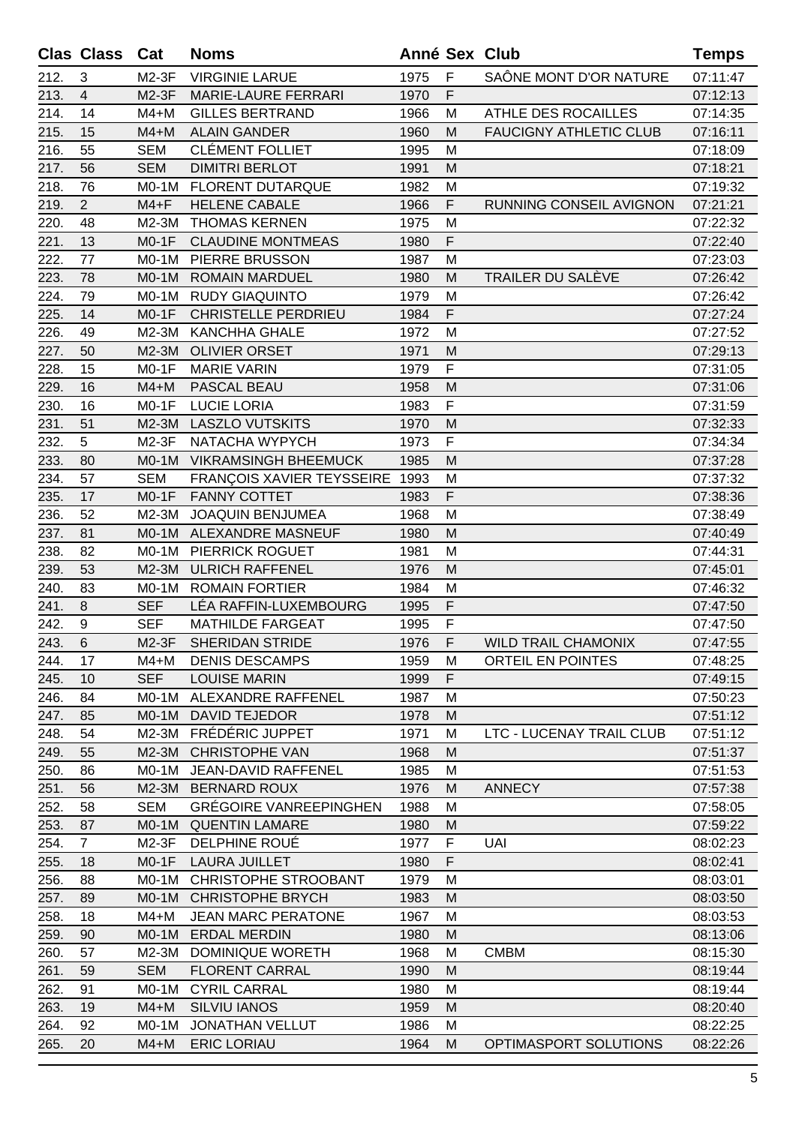|      | <b>Clas Class</b> | Cat        | <b>Noms</b>                      | Anné Sex Club |             |                               | <b>Temps</b> |
|------|-------------------|------------|----------------------------------|---------------|-------------|-------------------------------|--------------|
| 212. | 3                 | $M2-3F$    | <b>VIRGINIE LARUE</b>            | 1975          | F           | SAÔNE MONT D'OR NATURE        | 07:11:47     |
| 213. | $\overline{4}$    | $M2-3F$    | <b>MARIE-LAURE FERRARI</b>       | 1970          | F           |                               | 07:12:13     |
| 214. | 14                | $M4+M$     | <b>GILLES BERTRAND</b>           | 1966          | M           | <b>ATHLE DES ROCAILLES</b>    | 07:14:35     |
| 215. | 15                | $M4+M$     | <b>ALAIN GANDER</b>              | 1960          | M           | <b>FAUCIGNY ATHLETIC CLUB</b> | 07:16:11     |
| 216. | 55                | <b>SEM</b> | <b>CLÉMENT FOLLIET</b>           | 1995          | M           |                               | 07:18:09     |
| 217. | 56                | <b>SEM</b> | <b>DIMITRI BERLOT</b>            | 1991          | M           |                               | 07:18:21     |
| 218. | 76                | $MO-1M$    | <b>FLORENT DUTARQUE</b>          | 1982          | M           |                               | 07:19:32     |
| 219. | $\overline{2}$    | $M4 + F$   | <b>HELENE CABALE</b>             | 1966          | F           | RUNNING CONSEIL AVIGNON       | 07:21:21     |
| 220. | 48                | M2-3M      | <b>THOMAS KERNEN</b>             | 1975          | M           |                               | 07:22:32     |
| 221. | 13                | $MO-1F$    | <b>CLAUDINE MONTMEAS</b>         | 1980          | F           |                               | 07:22:40     |
| 222. | 77                | $MO-1M$    | PIERRE BRUSSON                   | 1987          | M           |                               | 07:23:03     |
| 223. | 78                | $MO-1M$    | <b>ROMAIN MARDUEL</b>            | 1980          | M           | TRAILER DU SALÈVE             | 07:26:42     |
| 224. | 79                | $MO-1M$    | <b>RUDY GIAQUINTO</b>            | 1979          | M           |                               | 07:26:42     |
| 225. | 14                | $MO-1F$    | <b>CHRISTELLE PERDRIEU</b>       | 1984          | F           |                               | 07:27:24     |
| 226. | 49                | M2-3M      | <b>KANCHHA GHALE</b>             | 1972          | M           |                               | 07:27:52     |
| 227. | 50                | $M2-3M$    | <b>OLIVIER ORSET</b>             | 1971          | M           |                               | 07:29:13     |
| 228. | 15                | $MO-1F$    | <b>MARIE VARIN</b>               | 1979          | $\mathsf F$ |                               | 07:31:05     |
| 229. | 16                | $M4+M$     | PASCAL BEAU                      | 1958          | M           |                               | 07:31:06     |
| 230. | 16                | $MO-1F$    | <b>LUCIE LORIA</b>               | 1983          | F           |                               | 07:31:59     |
| 231. | 51                | M2-3M      | <b>LASZLO VUTSKITS</b>           | 1970          | M           |                               | 07:32:33     |
| 232. | 5                 | $M2-3F$    | NATACHA WYPYCH                   | 1973          | F           |                               | 07:34:34     |
| 233. | 80                | $MO-1M$    | <b>VIKRAMSINGH BHEEMUCK</b>      | 1985          | M           |                               | 07:37:28     |
| 234. | 57                | <b>SEM</b> | <b>FRANÇOIS XAVIER TEYSSEIRE</b> | 1993          | M           |                               | 07:37:32     |
| 235. | 17                | $MO-1F$    | <b>FANNY COTTET</b>              | 1983          | F           |                               | 07:38:36     |
| 236. | 52                | M2-3M      | <b>JOAQUIN BENJUMEA</b>          | 1968          | M           |                               | 07:38:49     |
| 237. | 81                | $MO-1M$    | ALEXANDRE MASNEUF                | 1980          | M           |                               | 07:40:49     |
| 238. | 82                | M0-1M      | PIERRICK ROGUET                  | 1981          | M           |                               | 07:44:31     |
| 239. | 53                | $M2-3M$    | <b>ULRICH RAFFENEL</b>           | 1976          | M           |                               | 07:45:01     |
| 240. | 83                | M0-1M      | <b>ROMAIN FORTIER</b>            | 1984          | M           |                               | 07:46:32     |
| 241. | 8                 | <b>SEF</b> | LÉA RAFFIN-LUXEMBOURG            | 1995          | F           |                               | 07:47:50     |
| 242. | 9                 | <b>SEF</b> | <b>MATHILDE FARGEAT</b>          | 1995          | $\mathsf F$ |                               | 07:47:50     |
| 243. | $6\phantom{1}$    |            | M2-3F SHERIDAN STRIDE            | 1976          | F.          | WILD TRAIL CHAMONIX           | 07:47:55     |
| 244. | 17                | $M4+M$     | <b>DENIS DESCAMPS</b>            | 1959          | м           | ORTEIL EN POINTES             | 07:48:25     |
| 245. | 10                | <b>SEF</b> | <b>LOUISE MARIN</b>              | 1999          | F           |                               | 07:49:15     |
| 246. | 84                | $MO-1M$    | ALEXANDRE RAFFENEL               | 1987          | M           |                               | 07:50:23     |
| 247. | 85                | $MO-1M$    | <b>DAVID TEJEDOR</b>             | 1978          | M           |                               | 07:51:12     |
| 248. | 54                | $M2-3M$    | FRÉDÉRIC JUPPET                  | 1971          | м           | LTC - LUCENAY TRAIL CLUB      | 07:51:12     |
| 249. | 55                | $M2-3M$    | <b>CHRISTOPHE VAN</b>            | 1968          | M           |                               | 07:51:37     |
| 250. | 86                | M0-1M      | JEAN-DAVID RAFFENEL              | 1985          | M           |                               | 07:51:53     |
| 251. | 56                | $M2-3M$    | <b>BERNARD ROUX</b>              | 1976          | M           | <b>ANNECY</b>                 | 07:57:38     |
| 252. | 58                | SEM        | <b>GRÉGOIRE VANREEPINGHEN</b>    | 1988          | M           |                               | 07:58:05     |
| 253. | 87                | $MO-1M$    | <b>QUENTIN LAMARE</b>            | 1980          | M           |                               | 07:59:22     |
| 254. | $\overline{7}$    | $M2-3F$    | DELPHINE ROUÉ                    | 1977          | F           | <b>UAI</b>                    | 08:02:23     |
| 255. | 18                | $MO-1F$    | <b>LAURA JUILLET</b>             | 1980          | F           |                               | 08:02:41     |
| 256. | 88                | M0-1M      | CHRISTOPHE STROOBANT             | 1979          | M           |                               | 08:03:01     |
| 257. | 89                | $MO-1M$    | <b>CHRISTOPHE BRYCH</b>          | 1983          | M           |                               | 08:03:50     |
| 258. | 18                | $M4+M$     | <b>JEAN MARC PERATONE</b>        | 1967          | M           |                               | 08:03:53     |
| 259. | 90                | $MO-1M$    | <b>ERDAL MERDIN</b>              | 1980          | M           |                               | 08:13:06     |
| 260. | 57                | M2-3M      | <b>DOMINIQUE WORETH</b>          | 1968          | M           | <b>CMBM</b>                   | 08:15:30     |
| 261. | 59                | <b>SEM</b> | <b>FLORENT CARRAL</b>            | 1990          | M           |                               | 08:19:44     |
| 262. | 91                | M0-1M      | <b>CYRIL CARRAL</b>              | 1980          | M           |                               | 08:19:44     |
| 263. | 19                | $M4+M$     | <b>SILVIU IANOS</b>              | 1959          | M           |                               | 08:20:40     |
| 264. | 92                | $MO-1M$    | <b>JONATHAN VELLUT</b>           | 1986          | M           |                               | 08:22:25     |
| 265. | 20                | $M4+M$     | <b>ERIC LORIAU</b>               | 1964          | M           | OPTIMASPORT SOLUTIONS         | 08:22:26     |
|      |                   |            |                                  |               |             |                               |              |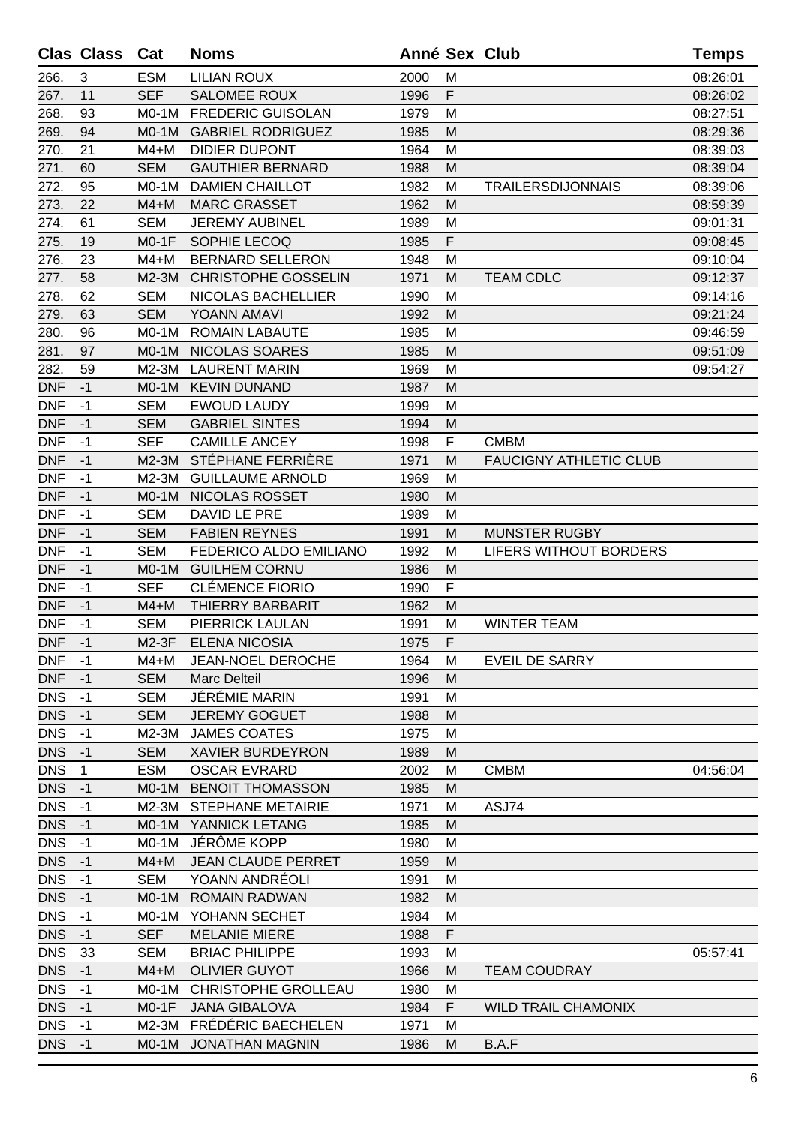|            | <b>Clas Class</b> | Cat        | <b>Noms</b>                |      |   | <b>Anné Sex Club</b>          | <b>Temps</b> |
|------------|-------------------|------------|----------------------------|------|---|-------------------------------|--------------|
| 266.       | 3                 | <b>ESM</b> | <b>LILIAN ROUX</b>         | 2000 | M |                               | 08:26:01     |
| 267.       | 11                | <b>SEF</b> | <b>SALOMEE ROUX</b>        | 1996 | F |                               | 08:26:02     |
| 268.       | 93                | $MO-1M$    | <b>FREDERIC GUISOLAN</b>   | 1979 | M |                               | 08:27:51     |
| 269.       | 94                | $MO-1M$    | <b>GABRIEL RODRIGUEZ</b>   | 1985 | M |                               | 08:29:36     |
| 270.       | 21                | $M4+M$     | <b>DIDIER DUPONT</b>       | 1964 | M |                               | 08:39:03     |
| 271.       | 60                | <b>SEM</b> | <b>GAUTHIER BERNARD</b>    | 1988 | M |                               | 08:39:04     |
| 272.       | 95                | $MO-1M$    | <b>DAMIEN CHAILLOT</b>     | 1982 | M | <b>TRAILERSDIJONNAIS</b>      | 08:39:06     |
| 273.       | 22                | $M4+M$     | <b>MARC GRASSET</b>        | 1962 | M |                               | 08:59:39     |
| 274.       | 61                | <b>SEM</b> | <b>JEREMY AUBINEL</b>      | 1989 | M |                               | 09:01:31     |
| 275.       | 19                | $MO-1F$    | SOPHIE LECOQ               | 1985 | F |                               | 09:08:45     |
| 276.       | 23                | $M4+M$     | <b>BERNARD SELLERON</b>    | 1948 | M |                               | 09:10:04     |
| 277.       | 58                | M2-3M      | <b>CHRISTOPHE GOSSELIN</b> | 1971 | M | <b>TEAM CDLC</b>              | 09:12:37     |
| 278.       | 62                | <b>SEM</b> | NICOLAS BACHELLIER         | 1990 | M |                               | 09:14:16     |
| 279.       | 63                | <b>SEM</b> | YOANN AMAVI                | 1992 | M |                               | 09:21:24     |
| 280.       | 96                | $MO-1M$    | <b>ROMAIN LABAUTE</b>      | 1985 | M |                               | 09:46:59     |
| 281.       | 97                | $MO-1M$    | NICOLAS SOARES             | 1985 | M |                               | 09:51:09     |
| 282.       | 59                | M2-3M      | <b>LAURENT MARIN</b>       | 1969 | M |                               | 09:54:27     |
| <b>DNF</b> | $-1$              | $MO-1M$    | <b>KEVIN DUNAND</b>        | 1987 | M |                               |              |
| <b>DNF</b> | $-1$              | <b>SEM</b> | <b>EWOUD LAUDY</b>         | 1999 | M |                               |              |
| <b>DNF</b> | $-1$              | <b>SEM</b> | <b>GABRIEL SINTES</b>      | 1994 | M |                               |              |
| <b>DNF</b> | $-1$              | <b>SEF</b> | <b>CAMILLE ANCEY</b>       | 1998 | F | <b>CMBM</b>                   |              |
| <b>DNF</b> | $-1$              | M2-3M      | STÉPHANE FERRIÈRE          | 1971 | M | <b>FAUCIGNY ATHLETIC CLUB</b> |              |
| <b>DNF</b> | $-1$              | M2-3M      | <b>GUILLAUME ARNOLD</b>    | 1969 | M |                               |              |
| <b>DNF</b> | $-1$              | $MO-1M$    | NICOLAS ROSSET             | 1980 | M |                               |              |
| <b>DNF</b> | $-1$              | <b>SEM</b> | DAVID LE PRE               | 1989 | M |                               |              |
| <b>DNF</b> | $-1$              | <b>SEM</b> | <b>FABIEN REYNES</b>       | 1991 | M | <b>MUNSTER RUGBY</b>          |              |
| <b>DNF</b> | $-1$              | <b>SEM</b> | FEDERICO ALDO EMILIANO     | 1992 | M | <b>LIFERS WITHOUT BORDERS</b> |              |
| <b>DNF</b> | $-1$              | $MO-1M$    | <b>GUILHEM CORNU</b>       | 1986 | M |                               |              |
| <b>DNF</b> | $-1$              | <b>SEF</b> | <b>CLÉMENCE FIORIO</b>     | 1990 | F |                               |              |
| <b>DNF</b> | $-1$              | $M4+M$     | THIERRY BARBARIT           | 1962 | M |                               |              |
| <b>DNF</b> | $-1$              | <b>SEM</b> | PIERRICK LAULAN            | 1991 | M | <b>WINTER TEAM</b>            |              |
| <b>DNF</b> | $-1$              | $M2-3F$    | ELENA NICOSIA              | 1975 | F |                               |              |
| <b>DNF</b> | $-1$              | M4+M       | JEAN-NOEL DEROCHE          | 1964 | M | <b>EVEIL DE SARRY</b>         |              |
| <b>DNF</b> | $-1$              | <b>SEM</b> | Marc Delteil               | 1996 | M |                               |              |
| <b>DNS</b> | $-1$              | <b>SEM</b> | JÉRÉMIE MARIN              | 1991 | M |                               |              |
| <b>DNS</b> | $-1$              | <b>SEM</b> | <b>JEREMY GOGUET</b>       | 1988 | M |                               |              |
| <b>DNS</b> | $-1$              | M2-3M      | <b>JAMES COATES</b>        | 1975 | M |                               |              |
| <b>DNS</b> | $-1$              | <b>SEM</b> | <b>XAVIER BURDEYRON</b>    | 1989 | M |                               |              |
| <b>DNS</b> | 1                 | <b>ESM</b> | <b>OSCAR EVRARD</b>        | 2002 | M | <b>CMBM</b>                   | 04:56:04     |
| <b>DNS</b> | $-1$              | $MO-1M$    | <b>BENOIT THOMASSON</b>    | 1985 | M |                               |              |
| <b>DNS</b> | $-1$              | M2-3M      | <b>STEPHANE METAIRIE</b>   | 1971 | M | ASJ74                         |              |
| <b>DNS</b> | $-1$              | $MO-1M$    | YANNICK LETANG             | 1985 | M |                               |              |
| <b>DNS</b> | $-1$              | $MO-1M$    | JÉRÔME KOPP                | 1980 | M |                               |              |
| <b>DNS</b> | $-1$              | $M4+M$     | <b>JEAN CLAUDE PERRET</b>  | 1959 | M |                               |              |
| <b>DNS</b> | $-1$              | <b>SEM</b> | YOANN ANDRÉOLI             | 1991 | M |                               |              |
| <b>DNS</b> | $-1$              | $MO-1M$    | <b>ROMAIN RADWAN</b>       | 1982 | M |                               |              |
| <b>DNS</b> | $-1$              | $MO-1M$    | YOHANN SECHET              | 1984 | M |                               |              |
| <b>DNS</b> | $-1$              | <b>SEF</b> | <b>MELANIE MIERE</b>       | 1988 | F |                               |              |
| <b>DNS</b> | 33                | <b>SEM</b> | <b>BRIAC PHILIPPE</b>      | 1993 | M |                               | 05:57:41     |
| <b>DNS</b> | $-1$              | $M4+M$     | <b>OLIVIER GUYOT</b>       | 1966 | M | <b>TEAM COUDRAY</b>           |              |
| <b>DNS</b> | $-1$              | $MO-1M$    | <b>CHRISTOPHE GROLLEAU</b> | 1980 | M |                               |              |
| <b>DNS</b> | $-1$              | $MO-1F$    | <b>JANA GIBALOVA</b>       | 1984 | F | <b>WILD TRAIL CHAMONIX</b>    |              |
| <b>DNS</b> | $-1$              | M2-3M      | FRÉDÉRIC BAECHELEN         | 1971 | M |                               |              |
| <b>DNS</b> | $-1$              | $MO-1M$    | <b>JONATHAN MAGNIN</b>     | 1986 | M | B.A.F                         |              |